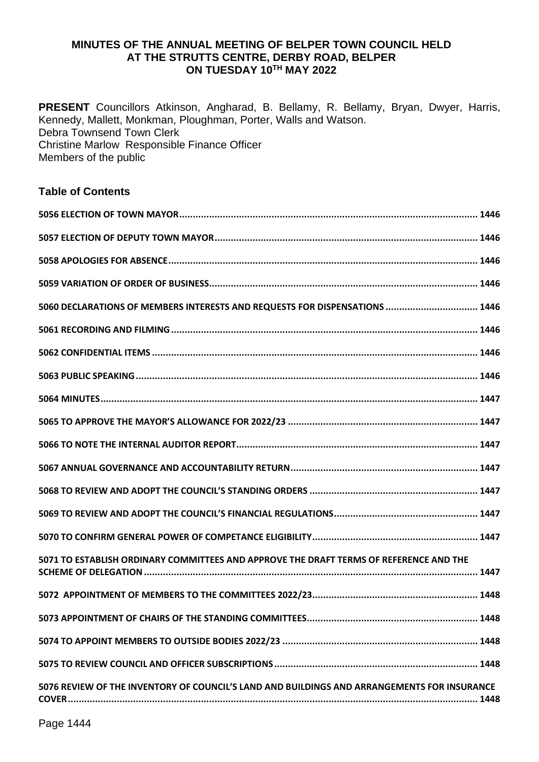#### **MINUTES OF THE ANNUAL MEETING OF BELPER TOWN COUNCIL HELD AT THE STRUTTS CENTRE, DERBY ROAD, BELPER ON TUESDAY 10TH MAY 2022**

**PRESENT** Councillors Atkinson, Angharad, B. Bellamy, R. Bellamy, Bryan, Dwyer, Harris, Kennedy, Mallett, Monkman, Ploughman, Porter, Walls and Watson. Debra Townsend Town Clerk Christine Marlow Responsible Finance Officer Members of the public

#### **Table of Contents**

| 5060 DECLARATIONS OF MEMBERS INTERESTS AND REQUESTS FOR DISPENSATIONS  1446                 |
|---------------------------------------------------------------------------------------------|
|                                                                                             |
|                                                                                             |
|                                                                                             |
|                                                                                             |
|                                                                                             |
|                                                                                             |
|                                                                                             |
|                                                                                             |
|                                                                                             |
|                                                                                             |
| 5071 TO ESTABLISH ORDINARY COMMITTEES AND APPROVE THE DRAFT TERMS OF REFERENCE AND THE      |
|                                                                                             |
|                                                                                             |
|                                                                                             |
|                                                                                             |
| 5076 REVIEW OF THE INVENTORY OF COUNCIL'S LAND AND BUILDINGS AND ARRANGEMENTS FOR INSURANCE |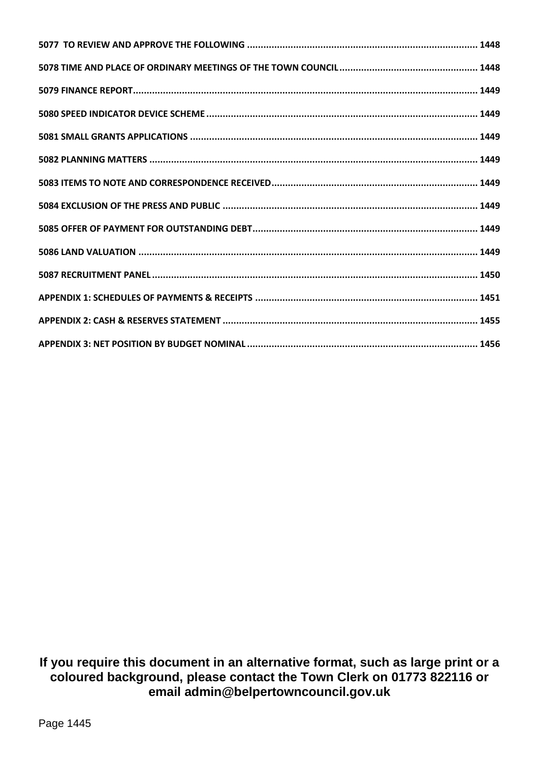**If you require this document in an alternative format, such as large print or a coloured background, please contact the Town Clerk on 01773 822116 or email admin@belpertowncouncil.gov.uk**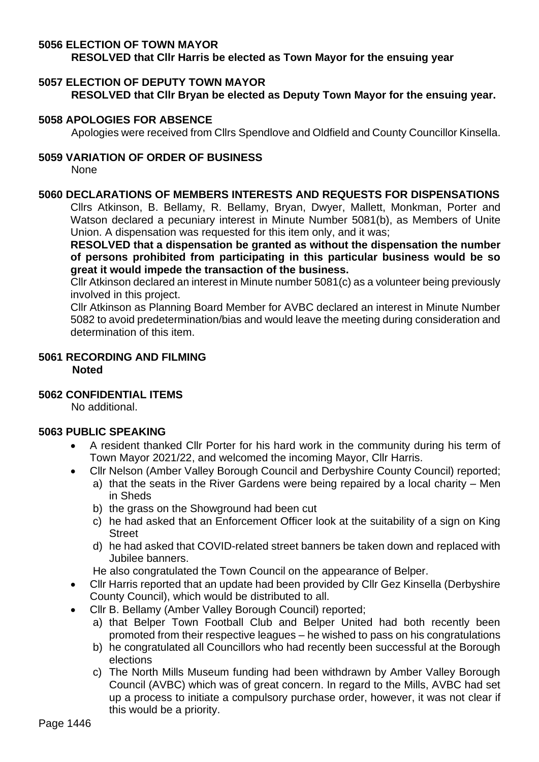## <span id="page-2-0"></span>**5056 ELECTION OF TOWN MAYOR**

**RESOLVED that Cllr Harris be elected as Town Mayor for the ensuing year**

## <span id="page-2-1"></span>**5057 ELECTION OF DEPUTY TOWN MAYOR**

**RESOLVED that Cllr Bryan be elected as Deputy Town Mayor for the ensuing year.** 

## <span id="page-2-2"></span>**5058 APOLOGIES FOR ABSENCE**

Apologies were received from Cllrs Spendlove and Oldfield and County Councillor Kinsella.

# <span id="page-2-3"></span>**5059 VARIATION OF ORDER OF BUSINESS**

None

## <span id="page-2-4"></span>**5060 DECLARATIONS OF MEMBERS INTERESTS AND REQUESTS FOR DISPENSATIONS**

Cllrs Atkinson, B. Bellamy, R. Bellamy, Bryan, Dwyer, Mallett, Monkman, Porter and Watson declared a pecuniary interest in Minute Number 5081(b), as Members of Unite Union. A dispensation was requested for this item only, and it was;

**RESOLVED that a dispensation be granted as without the dispensation the number of persons prohibited from participating in this particular business would be so great it would impede the transaction of the business.** 

Cllr Atkinson declared an interest in Minute number 5081(c) as a volunteer being previously involved in this project.

Cllr Atkinson as Planning Board Member for AVBC declared an interest in Minute Number 5082 to avoid predetermination/bias and would leave the meeting during consideration and determination of this item.

## <span id="page-2-5"></span>**5061 RECORDING AND FILMING Noted**

## <span id="page-2-6"></span>**5062 CONFIDENTIAL ITEMS**

No additional.

## <span id="page-2-7"></span>**5063 PUBLIC SPEAKING**

- A resident thanked Cllr Porter for his hard work in the community during his term of Town Mayor 2021/22, and welcomed the incoming Mayor, Cllr Harris.
	- Cllr Nelson (Amber Valley Borough Council and Derbyshire County Council) reported;
		- a) that the seats in the River Gardens were being repaired by a local charity Men in Sheds
		- b) the grass on the Showground had been cut
		- c) he had asked that an Enforcement Officer look at the suitability of a sign on King **Street**
		- d) he had asked that COVID-related street banners be taken down and replaced with Jubilee banners.

He also congratulated the Town Council on the appearance of Belper.

- Cllr Harris reported that an update had been provided by Cllr Gez Kinsella (Derbyshire County Council), which would be distributed to all.
- Cllr B. Bellamy (Amber Valley Borough Council) reported;
	- a) that Belper Town Football Club and Belper United had both recently been promoted from their respective leagues – he wished to pass on his congratulations
	- b) he congratulated all Councillors who had recently been successful at the Borough elections
	- c) The North Mills Museum funding had been withdrawn by Amber Valley Borough Council (AVBC) which was of great concern. In regard to the Mills, AVBC had set up a process to initiate a compulsory purchase order, however, it was not clear if this would be a priority.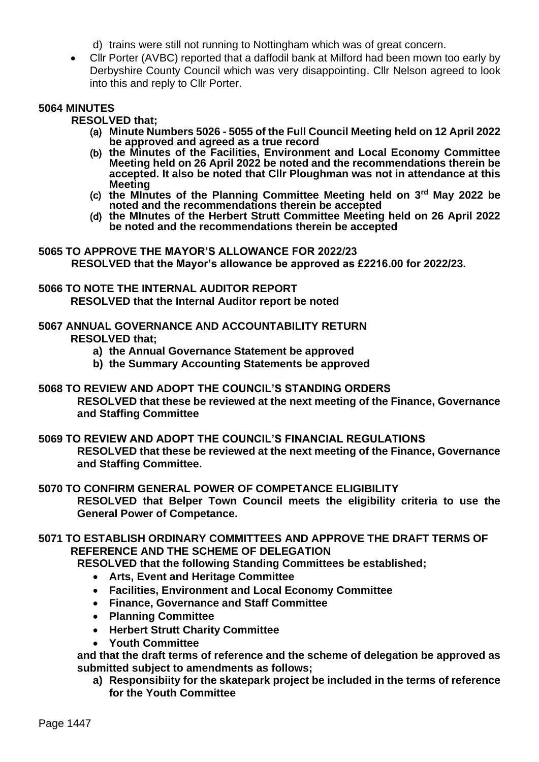d) trains were still not running to Nottingham which was of great concern.

• Cllr Porter (AVBC) reported that a daffodil bank at Milford had been mown too early by Derbyshire County Council which was very disappointing. Cllr Nelson agreed to look into this and reply to Cllr Porter.

#### <span id="page-3-0"></span>**5064 MINUTES**

**RESOLVED that;**

- (a) **Minute Numbers 5026 - 5055 of the Full Council Meeting held on 12 April 2022 be approved and agreed as a true record**
- (b) **the Minutes of the Facilities, Environment and Local Economy Committee Meeting held on 26 April 2022 be noted and the recommendations therein be accepted. It also be noted that Cllr Ploughman was not in attendance at this Meeting**
- (c) **the MInutes of the Planning Committee Meeting held on 3rd May 2022 be noted and the recommendations therein be accepted**
- (d) **the MInutes of the Herbert Strutt Committee Meeting held on 26 April 2022 be noted and the recommendations therein be accepted**

<span id="page-3-1"></span>**5065 TO APPROVE THE MAYOR'S ALLOWANCE FOR 2022/23 RESOLVED that the Mayor's allowance be approved as £2216.00 for 2022/23.**

- <span id="page-3-2"></span>**5066 TO NOTE THE INTERNAL AUDITOR REPORT RESOLVED that the Internal Auditor report be noted**
- <span id="page-3-3"></span>**5067 ANNUAL GOVERNANCE AND ACCOUNTABILITY RETURN RESOLVED that;**
	- **a) the Annual Governance Statement be approved**
	- **b) the Summary Accounting Statements be approved**
- <span id="page-3-4"></span>**5068 TO REVIEW AND ADOPT THE COUNCIL'S STANDING ORDERS RESOLVED that these be reviewed at the next meeting of the Finance, Governance and Staffing Committee**
- <span id="page-3-5"></span>**5069 TO REVIEW AND ADOPT THE COUNCIL'S FINANCIAL REGULATIONS RESOLVED that these be reviewed at the next meeting of the Finance, Governance and Staffing Committee.**
- <span id="page-3-6"></span>**5070 TO CONFIRM GENERAL POWER OF COMPETANCE ELIGIBILITY RESOLVED that Belper Town Council meets the eligibility criteria to use the General Power of Competance.**
- <span id="page-3-7"></span>**5071 TO ESTABLISH ORDINARY COMMITTEES AND APPROVE THE DRAFT TERMS OF REFERENCE AND THE SCHEME OF DELEGATION**

**RESOLVED that the following Standing Committees be established;**

- **Arts, Event and Heritage Committee**
- **Facilities, Environment and Local Economy Committee**
- **Finance, Governance and Staff Committee**
- **Planning Committee**
- **Herbert Strutt Charity Committee**
- **Youth Committee**

**and that the draft terms of reference and the scheme of delegation be approved as submitted subject to amendments as follows;** 

**a) Responsibiity for the skatepark project be included in the terms of reference for the Youth Committee**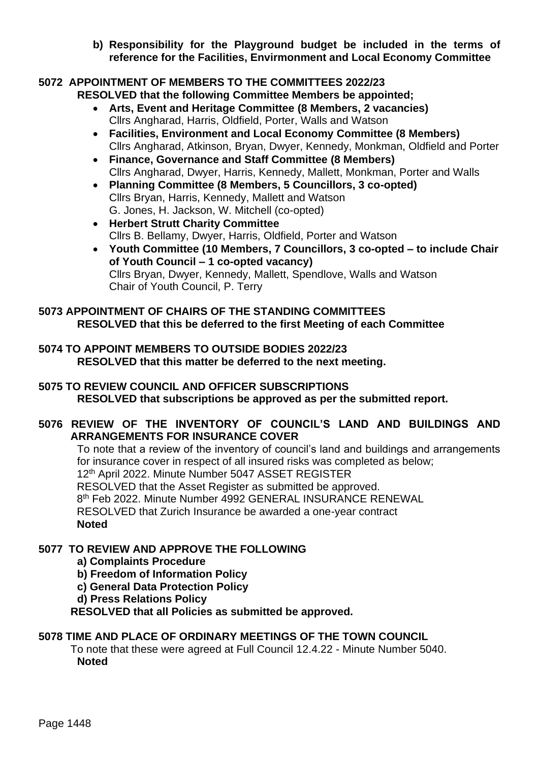**b) Responsibility for the Playground budget be included in the terms of reference for the Facilities, Envirmonment and Local Economy Committee**

# <span id="page-4-0"></span>**5072 APPOINTMENT OF MEMBERS TO THE COMMITTEES 2022/23**

**RESOLVED that the following Committee Members be appointed;**

- **Arts, Event and Heritage Committee (8 Members, 2 vacancies)** Cllrs Angharad, Harris, Oldfield, Porter, Walls and Watson
- **Facilities, Environment and Local Economy Committee (8 Members)** Cllrs Angharad, Atkinson, Bryan, Dwyer, Kennedy, Monkman, Oldfield and Porter
- **Finance, Governance and Staff Committee (8 Members)** Cllrs Angharad, Dwyer, Harris, Kennedy, Mallett, Monkman, Porter and Walls
- **Planning Committee (8 Members, 5 Councillors, 3 co-opted)** Cllrs Bryan, Harris, Kennedy, Mallett and Watson G. Jones, H. Jackson, W. Mitchell (co-opted)
- **Herbert Strutt Charity Committee** Cllrs B. Bellamy, Dwyer, Harris, Oldfield, Porter and Watson
- **Youth Committee (10 Members, 7 Councillors, 3 co-opted – to include Chair of Youth Council – 1 co-opted vacancy)**  Cllrs Bryan, Dwyer, Kennedy, Mallett, Spendlove, Walls and Watson Chair of Youth Council, P. Terry

## <span id="page-4-1"></span>**5073 APPOINTMENT OF CHAIRS OF THE STANDING COMMITTEES RESOLVED that this be deferred to the first Meeting of each Committee**

<span id="page-4-2"></span>**5074 TO APPOINT MEMBERS TO OUTSIDE BODIES 2022/23 RESOLVED that this matter be deferred to the next meeting.**

# <span id="page-4-3"></span>**5075 TO REVIEW COUNCIL AND OFFICER SUBSCRIPTIONS RESOLVED that subscriptions be approved as per the submitted report.**

# <span id="page-4-4"></span>**5076 REVIEW OF THE INVENTORY OF COUNCIL'S LAND AND BUILDINGS AND ARRANGEMENTS FOR INSURANCE COVER**

To note that a review of the inventory of council's land and buildings and arrangements for insurance cover in respect of all insured risks was completed as below; 12th April 2022. Minute Number 5047 ASSET REGISTER RESOLVED that the Asset Register as submitted be approved. 8 th Feb 2022. Minute Number 4992 GENERAL INSURANCE RENEWAL RESOLVED that Zurich Insurance be awarded a one-year contract **Noted**

# <span id="page-4-5"></span>**5077 TO REVIEW AND APPROVE THE FOLLOWING**

- **a) Complaints Procedure**
- **b) Freedom of Information Policy**
- **c) General Data Protection Policy**
- **d) Press Relations Policy**

**RESOLVED that all Policies as submitted be approved.**

## <span id="page-4-6"></span>**5078 TIME AND PLACE OF ORDINARY MEETINGS OF THE TOWN COUNCIL**

To note that these were agreed at Full Council 12.4.22 - Minute Number 5040. **Noted**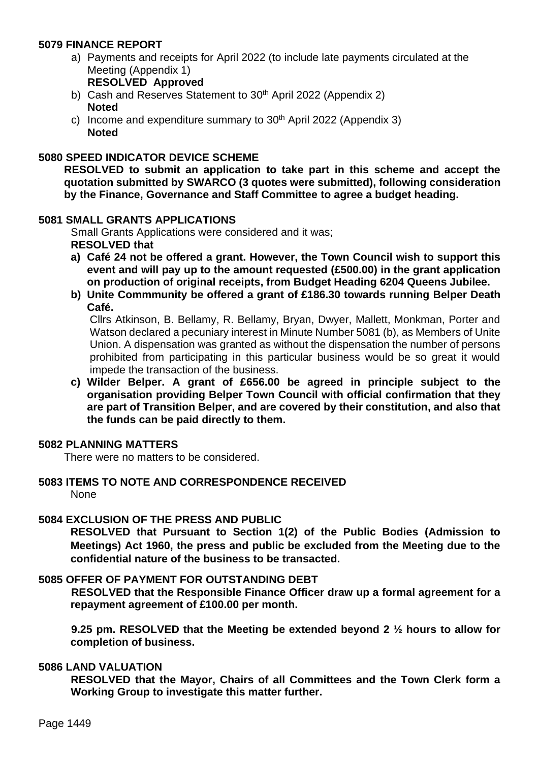## <span id="page-5-0"></span>**5079 FINANCE REPORT**

- a) Payments and receipts for April 2022 (to include late payments circulated at the Meeting (Appendix 1) **RESOLVED Approved**
- b) Cash and Reserves Statement to 30<sup>th</sup> April 2022 (Appendix 2) **Noted**
- c) Income and expenditure summary to  $30<sup>th</sup>$  April 2022 (Appendix 3) **Noted**

## <span id="page-5-1"></span>**5080 SPEED INDICATOR DEVICE SCHEME**

**RESOLVED to submit an application to take part in this scheme and accept the quotation submitted by SWARCO (3 quotes were submitted), following consideration by the Finance, Governance and Staff Committee to agree a budget heading.** 

#### <span id="page-5-2"></span>**5081 SMALL GRANTS APPLICATIONS**

Small Grants Applications were considered and it was; **RESOLVED that** 

- **a) Café 24 not be offered a grant. However, the Town Council wish to support this event and will pay up to the amount requested (£500.00) in the grant application on production of original receipts, from Budget Heading 6204 Queens Jubilee.**
- **b) Unite Commmunity be offered a grant of £186.30 towards running Belper Death Café.**

Cllrs Atkinson, B. Bellamy, R. Bellamy, Bryan, Dwyer, Mallett, Monkman, Porter and Watson declared a pecuniary interest in Minute Number 5081 (b), as Members of Unite Union. A dispensation was granted as without the dispensation the number of persons prohibited from participating in this particular business would be so great it would impede the transaction of the business.

**c) Wilder Belper. A grant of £656.00 be agreed in principle subject to the organisation providing Belper Town Council with official confirmation that they are part of Transition Belper, and are covered by their constitution, and also that the funds can be paid directly to them.**

#### <span id="page-5-3"></span>**5082 PLANNING MATTERS**

There were no matters to be considered.

#### <span id="page-5-4"></span>**5083 ITEMS TO NOTE AND CORRESPONDENCE RECEIVED** None

#### <span id="page-5-5"></span>**5084 EXCLUSION OF THE PRESS AND PUBLIC**

**RESOLVED that Pursuant to Section 1(2) of the Public Bodies (Admission to Meetings) Act 1960, the press and public be excluded from the Meeting due to the confidential nature of the business to be transacted.**

## <span id="page-5-6"></span>**5085 OFFER OF PAYMENT FOR OUTSTANDING DEBT**

**RESOLVED that the Responsible Finance Officer draw up a formal agreement for a repayment agreement of £100.00 per month.**

**9.25 pm. RESOLVED that the Meeting be extended beyond 2 ½ hours to allow for completion of business.**

#### <span id="page-5-7"></span>**5086 LAND VALUATION**

**RESOLVED that the Mayor, Chairs of all Committees and the Town Clerk form a Working Group to investigate this matter further.**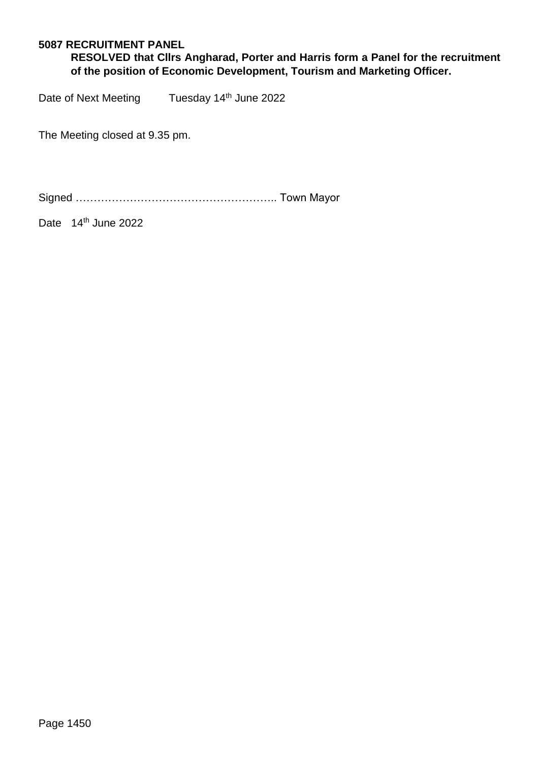## <span id="page-6-0"></span>**5087 RECRUITMENT PANEL**

**RESOLVED that Cllrs Angharad, Porter and Harris form a Panel for the recruitment of the position of Economic Development, Tourism and Marketing Officer.** 

Date of Next Meeting Tuesday 14<sup>th</sup> June 2022

The Meeting closed at 9.35 pm.

Signed ……………………………………………….. Town Mayor

Date 14<sup>th</sup> June 2022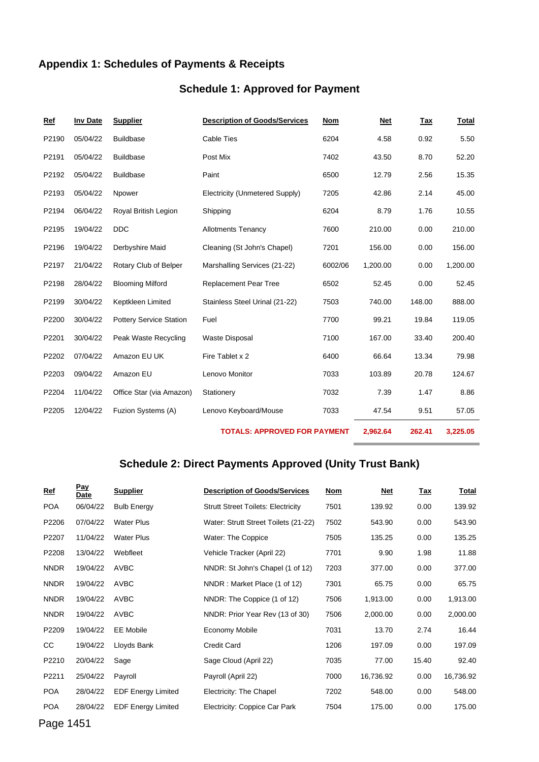# <span id="page-7-0"></span>**Appendix 1: Schedules of Payments & Receipts**

# **Schedule 1: Approved for Payment**

| Ref   | Inv Date | <b>Supplier</b>                | <b>Description of Goods/Services</b> | <b>Nom</b> | Net      | Tax    | <b>Total</b> |
|-------|----------|--------------------------------|--------------------------------------|------------|----------|--------|--------------|
| P2190 | 05/04/22 | <b>Buildbase</b>               | <b>Cable Ties</b>                    | 6204       | 4.58     | 0.92   | 5.50         |
| P2191 | 05/04/22 | <b>Buildbase</b>               | Post Mix                             | 7402       | 43.50    | 8.70   | 52.20        |
| P2192 | 05/04/22 | <b>Buildbase</b>               | Paint                                | 6500       | 12.79    | 2.56   | 15.35        |
| P2193 | 05/04/22 | Npower                         | Electricity (Unmetered Supply)       | 7205       | 42.86    | 2.14   | 45.00        |
| P2194 | 06/04/22 | Royal British Legion           | Shipping                             | 6204       | 8.79     | 1.76   | 10.55        |
| P2195 | 19/04/22 | <b>DDC</b>                     | <b>Allotments Tenancy</b>            | 7600       | 210.00   | 0.00   | 210.00       |
| P2196 | 19/04/22 | Derbyshire Maid                | Cleaning (St John's Chapel)          | 7201       | 156.00   | 0.00   | 156.00       |
| P2197 | 21/04/22 | Rotary Club of Belper          | Marshalling Services (21-22)         | 6002/06    | 1,200.00 | 0.00   | 1,200.00     |
| P2198 | 28/04/22 | <b>Blooming Milford</b>        | <b>Replacement Pear Tree</b>         | 6502       | 52.45    | 0.00   | 52.45        |
| P2199 | 30/04/22 | Keptkleen Limited              | Stainless Steel Urinal (21-22)       | 7503       | 740.00   | 148.00 | 888.00       |
| P2200 | 30/04/22 | <b>Pottery Service Station</b> | Fuel                                 | 7700       | 99.21    | 19.84  | 119.05       |
| P2201 | 30/04/22 | Peak Waste Recycling           | <b>Waste Disposal</b>                | 7100       | 167.00   | 33.40  | 200.40       |
| P2202 | 07/04/22 | Amazon EU UK                   | Fire Tablet x 2                      | 6400       | 66.64    | 13.34  | 79.98        |
| P2203 | 09/04/22 | Amazon EU                      | Lenovo Monitor                       | 7033       | 103.89   | 20.78  | 124.67       |
| P2204 | 11/04/22 | Office Star (via Amazon)       | Stationery                           | 7032       | 7.39     | 1.47   | 8.86         |
| P2205 | 12/04/22 | Fuzion Systems (A)             | Lenovo Keyboard/Mouse                | 7033       | 47.54    | 9.51   | 57.05        |
|       |          |                                | <b>TOTALS: APPROVED FOR PAYMENT</b>  |            | 2,962.64 | 262.41 | 3,225.05     |

**Schedule 2: Direct Payments Approved (Unity Trust Bank)**

| $Ref$       | <u>Pay</u><br>Date | <b>Supplier</b>           | <b>Description of Goods/Services</b>      | <u>Nom</u> | <u>Net</u> | <u>Tax</u> | <u>Total</u> |
|-------------|--------------------|---------------------------|-------------------------------------------|------------|------------|------------|--------------|
| <b>POA</b>  | 06/04/22           | <b>Bulb Energy</b>        | <b>Strutt Street Toilets: Electricity</b> | 7501       | 139.92     | 0.00       | 139.92       |
| P2206       | 07/04/22           | <b>Water Plus</b>         | Water: Strutt Street Toilets (21-22)      | 7502       | 543.90     | 0.00       | 543.90       |
| P2207       | 11/04/22           | <b>Water Plus</b>         | Water: The Coppice                        | 7505       | 135.25     | 0.00       | 135.25       |
| P2208       | 13/04/22           | Webfleet                  | Vehicle Tracker (April 22)                | 7701       | 9.90       | 1.98       | 11.88        |
| <b>NNDR</b> | 19/04/22           | <b>AVBC</b>               | NNDR: St John's Chapel (1 of 12)          | 7203       | 377.00     | 0.00       | 377.00       |
| <b>NNDR</b> | 19/04/22           | <b>AVBC</b>               | NNDR: Market Place (1 of 12)              | 7301       | 65.75      | 0.00       | 65.75        |
| <b>NNDR</b> | 19/04/22           | <b>AVBC</b>               | NNDR: The Coppice (1 of 12)               | 7506       | 1,913.00   | 0.00       | 1,913.00     |
| <b>NNDR</b> | 19/04/22           | <b>AVBC</b>               | NNDR: Prior Year Rev (13 of 30)           | 7506       | 2,000.00   | 0.00       | 2,000.00     |
| P2209       | 19/04/22           | EE Mobile                 | Economy Mobile                            | 7031       | 13.70      | 2.74       | 16.44        |
| CC          | 19/04/22           | Lloyds Bank               | <b>Credit Card</b>                        | 1206       | 197.09     | 0.00       | 197.09       |
| P2210       | 20/04/22           | Sage                      | Sage Cloud (April 22)                     | 7035       | 77.00      | 15.40      | 92.40        |
| P2211       | 25/04/22           | Payroll                   | Payroll (April 22)                        | 7000       | 16,736.92  | 0.00       | 16,736.92    |
| <b>POA</b>  | 28/04/22           | <b>EDF Energy Limited</b> | Electricity: The Chapel                   | 7202       | 548.00     | 0.00       | 548.00       |
| <b>POA</b>  | 28/04/22           | <b>EDF Energy Limited</b> | Electricity: Coppice Car Park             | 7504       | 175.00     | 0.00       | 175.00       |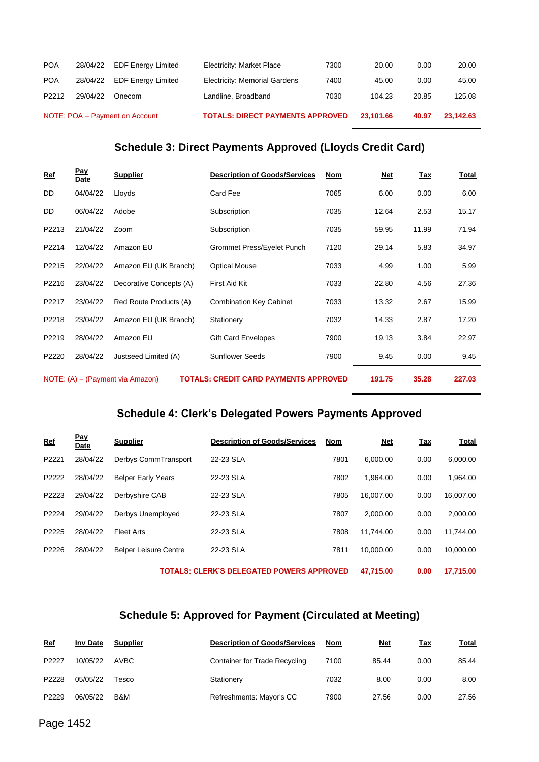|            |          | NOTE: POA = Payment on Account | <b>TOTALS: DIRECT PAYMENTS APPROVED</b> |      | 23,101.66 | 40.97 | 23,142.63 |
|------------|----------|--------------------------------|-----------------------------------------|------|-----------|-------|-----------|
| P2212      | 29/04/22 | Onecom                         | Landline, Broadband                     | 7030 | 104.23    | 20.85 | 125.08    |
| <b>POA</b> | 28/04/22 | <b>EDF Energy Limited</b>      | <b>Electricity: Memorial Gardens</b>    | 7400 | 45.00     | 0.00  | 45.00     |
| <b>POA</b> | 28/04/22 | <b>EDF Energy Limited</b>      | Electricity: Market Place               | 7300 | 20.00     | 0.00  | 20.00     |

# **Schedule 3: Direct Payments Approved (Lloyds Credit Card)**

| <u>Ref</u> | <u>Pay</u><br>Date | <b>Supplier</b>                    | <b>Description of Goods/Services</b>         | Nom  | Net    | <u>Tax</u> | Total  |
|------------|--------------------|------------------------------------|----------------------------------------------|------|--------|------------|--------|
| DD.        | 04/04/22           | Lloyds                             | Card Fee                                     | 7065 | 6.00   | 0.00       | 6.00   |
| DD.        | 06/04/22           | Adobe                              | Subscription                                 | 7035 | 12.64  | 2.53       | 15.17  |
| P2213      | 21/04/22           | Zoom                               | Subscription                                 | 7035 | 59.95  | 11.99      | 71.94  |
| P2214      | 12/04/22           | Amazon EU                          | Grommet Press/Eyelet Punch                   | 7120 | 29.14  | 5.83       | 34.97  |
| P2215      | 22/04/22           | Amazon EU (UK Branch)              | <b>Optical Mouse</b>                         | 7033 | 4.99   | 1.00       | 5.99   |
| P2216      | 23/04/22           | Decorative Concepts (A)            | First Aid Kit                                | 7033 | 22.80  | 4.56       | 27.36  |
| P2217      | 23/04/22           | Red Route Products (A)             | <b>Combination Key Cabinet</b>               | 7033 | 13.32  | 2.67       | 15.99  |
| P2218      | 23/04/22           | Amazon EU (UK Branch)              | Stationery                                   | 7032 | 14.33  | 2.87       | 17.20  |
| P2219      | 28/04/22           | Amazon EU                          | <b>Gift Card Envelopes</b>                   | 7900 | 19.13  | 3.84       | 22.97  |
| P2220      | 28/04/22           | Justseed Limited (A)               | <b>Sunflower Seeds</b>                       | 7900 | 9.45   | 0.00       | 9.45   |
|            |                    | $NOTE: (A) = (Payment via Amazon)$ | <b>TOTALS: CREDIT CARD PAYMENTS APPROVED</b> |      | 191.75 | 35.28      | 227.03 |

# **Schedule 4: Clerk's Delegated Powers Payments Approved**

| Ref   | Pav<br>Date | <b>Supplier</b>              | <b>Description of Goods/Services</b>             | Nom  | <b>Net</b> | <u>Tax</u> | Total     |
|-------|-------------|------------------------------|--------------------------------------------------|------|------------|------------|-----------|
| P2221 | 28/04/22    | Derbys CommTransport         | 22-23 SLA                                        | 7801 | 6.000.00   | 0.00       | 6,000.00  |
| P2222 | 28/04/22    | <b>Belper Early Years</b>    | 22-23 SLA                                        | 7802 | 1.964.00   | 0.00       | 1,964.00  |
| P2223 | 29/04/22    | Derbyshire CAB               | 22-23 SLA                                        | 7805 | 16.007.00  | 0.00       | 16,007.00 |
| P2224 | 29/04/22    | Derbys Unemployed            | 22-23 SLA                                        | 7807 | 2.000.00   | 0.00       | 2,000.00  |
| P2225 | 28/04/22    | <b>Fleet Arts</b>            | 22-23 SLA                                        | 7808 | 11.744.00  | 0.00       | 11.744.00 |
| P2226 | 28/04/22    | <b>Belper Leisure Centre</b> | 22-23 SLA                                        | 7811 | 10.000.00  | 0.00       | 10,000.00 |
|       |             |                              | <b>TOTALS: CLERK'S DELEGATED POWERS APPROVED</b> |      | 47.715.00  | 0.00       | 17.715.00 |

# **Schedule 5: Approved for Payment (Circulated at Meeting)**

| <u>Ref</u> | <b>Inv Date</b> | <b>Supplier</b> | <b>Description of Goods/Services</b> | Nom  | <u>Net</u> | Tax  | Total |
|------------|-----------------|-----------------|--------------------------------------|------|------------|------|-------|
| P2227      | 10/05/22        | AVBC            | Container for Trade Recycling        | 7100 | 85.44      | 0.00 | 85.44 |
| P2228      | 05/05/22        | Tesco           | Stationery                           | 7032 | 8.00       | 0.00 | 8.00  |
| P2229      | 06/05/22        | B&M             | Refreshments: Mayor's CC             | 7900 | 27.56      | 0.00 | 27.56 |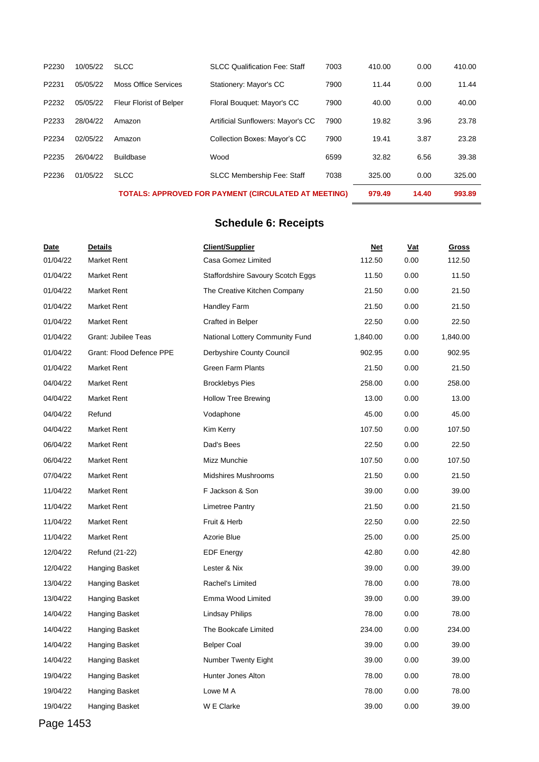|       |          |                                | <b>TOTALS: APPROVED FOR PAYMENT (CIRCULATED AT MEETING)</b> |      | 979.49 | 14.40 | 993.89 |
|-------|----------|--------------------------------|-------------------------------------------------------------|------|--------|-------|--------|
| P2236 | 01/05/22 | <b>SLCC</b>                    | <b>SLCC Membership Fee: Staff</b>                           | 7038 | 325.00 | 0.00  | 325.00 |
| P2235 | 26/04/22 | <b>Buildbase</b>               | Wood                                                        | 6599 | 32.82  | 6.56  | 39.38  |
| P2234 | 02/05/22 | Amazon                         | <b>Collection Boxes: Mayor's CC</b>                         | 7900 | 19.41  | 3.87  | 23.28  |
| P2233 | 28/04/22 | Amazon                         | Artificial Sunflowers: Mayor's CC                           | 7900 | 19.82  | 3.96  | 23.78  |
| P2232 | 05/05/22 | <b>Fleur Florist of Belper</b> | Floral Bouquet: Mayor's CC                                  | 7900 | 40.00  | 0.00  | 40.00  |
| P2231 | 05/05/22 | Moss Office Services           | Stationery: Mayor's CC                                      | 7900 | 11.44  | 0.00  | 11.44  |
| P2230 | 10/05/22 | <b>SLCC</b>                    | <b>SLCC Qualification Fee: Staff</b>                        | 7003 | 410.00 | 0.00  | 410.00 |

# **Schedule 6: Receipts**

| Date     | <b>Details</b>             | <b>Client/Supplier</b>            | <u>Net</u> | <u>Vat</u> | <b>Gross</b> |
|----------|----------------------------|-----------------------------------|------------|------------|--------------|
| 01/04/22 | <b>Market Rent</b>         | Casa Gomez Limited                | 112.50     | 0.00       | 112.50       |
| 01/04/22 | <b>Market Rent</b>         | Staffordshire Savoury Scotch Eggs | 11.50      | 0.00       | 11.50        |
| 01/04/22 | <b>Market Rent</b>         | The Creative Kitchen Company      | 21.50      | 0.00       | 21.50        |
| 01/04/22 | <b>Market Rent</b>         | Handley Farm                      | 21.50      | 0.00       | 21.50        |
| 01/04/22 | <b>Market Rent</b>         | Crafted in Belper                 | 22.50      | 0.00       | 22.50        |
| 01/04/22 | <b>Grant: Jubilee Teas</b> | National Lottery Community Fund   | 1,840.00   | 0.00       | 1,840.00     |
| 01/04/22 | Grant: Flood Defence PPE   | Derbyshire County Council         | 902.95     | 0.00       | 902.95       |
| 01/04/22 | Market Rent                | <b>Green Farm Plants</b>          | 21.50      | 0.00       | 21.50        |
| 04/04/22 | <b>Market Rent</b>         | <b>Brocklebys Pies</b>            | 258.00     | 0.00       | 258.00       |
| 04/04/22 | <b>Market Rent</b>         | <b>Hollow Tree Brewing</b>        | 13.00      | 0.00       | 13.00        |
| 04/04/22 | Refund                     | Vodaphone                         | 45.00      | 0.00       | 45.00        |
| 04/04/22 | <b>Market Rent</b>         | Kim Kerry                         | 107.50     | 0.00       | 107.50       |
| 06/04/22 | <b>Market Rent</b>         | Dad's Bees                        | 22.50      | 0.00       | 22.50        |
| 06/04/22 | <b>Market Rent</b>         | Mizz Munchie                      | 107.50     | 0.00       | 107.50       |
| 07/04/22 | <b>Market Rent</b>         | Midshires Mushrooms               | 21.50      | 0.00       | 21.50        |
| 11/04/22 | <b>Market Rent</b>         | F Jackson & Son                   | 39.00      | 0.00       | 39.00        |
| 11/04/22 | <b>Market Rent</b>         | Limetree Pantry                   | 21.50      | 0.00       | 21.50        |
| 11/04/22 | <b>Market Rent</b>         | Fruit & Herb                      | 22.50      | 0.00       | 22.50        |
| 11/04/22 | <b>Market Rent</b>         | Azorie Blue                       | 25.00      | 0.00       | 25.00        |
| 12/04/22 | Refund (21-22)             | <b>EDF Energy</b>                 | 42.80      | 0.00       | 42.80        |
| 12/04/22 | Hanging Basket             | Lester & Nix                      | 39.00      | 0.00       | 39.00        |
| 13/04/22 | Hanging Basket             | Rachel's Limited                  | 78.00      | 0.00       | 78.00        |
| 13/04/22 | Hanging Basket             | Emma Wood Limited                 | 39.00      | 0.00       | 39.00        |
| 14/04/22 | Hanging Basket             | Lindsay Philips                   | 78.00      | 0.00       | 78.00        |
| 14/04/22 | Hanging Basket             | The Bookcafe Limited              | 234.00     | 0.00       | 234.00       |
| 14/04/22 | Hanging Basket             | <b>Belper Coal</b>                | 39.00      | 0.00       | 39.00        |
| 14/04/22 | Hanging Basket             | Number Twenty Eight               | 39.00      | 0.00       | 39.00        |
| 19/04/22 | Hanging Basket             | Hunter Jones Alton                | 78.00      | 0.00       | 78.00        |
| 19/04/22 | Hanging Basket             | Lowe M A                          | 78.00      | 0.00       | 78.00        |
| 19/04/22 | Hanging Basket             | W E Clarke                        | 39.00      | 0.00       | 39.00        |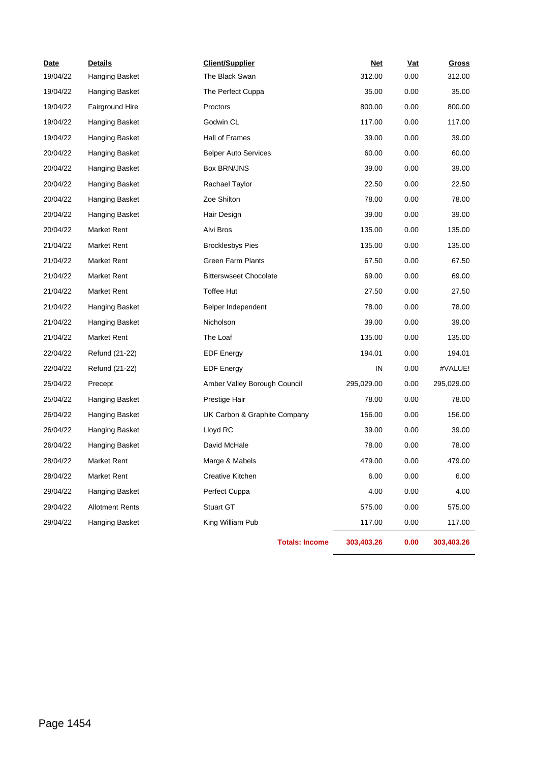| Date     | <b>Details</b>         | <b>Client/Supplier</b>        | <u>Net</u> | <b>Vat</b> | <b>Gross</b> |
|----------|------------------------|-------------------------------|------------|------------|--------------|
| 19/04/22 | Hanging Basket         | The Black Swan                | 312.00     | 0.00       | 312.00       |
| 19/04/22 | Hanging Basket         | The Perfect Cuppa             | 35.00      | 0.00       | 35.00        |
| 19/04/22 | Fairground Hire        | Proctors                      | 800.00     | 0.00       | 800.00       |
| 19/04/22 | Hanging Basket         | Godwin CL                     | 117.00     | 0.00       | 117.00       |
| 19/04/22 | Hanging Basket         | Hall of Frames                | 39.00      | 0.00       | 39.00        |
| 20/04/22 | Hanging Basket         | <b>Belper Auto Services</b>   | 60.00      | 0.00       | 60.00        |
| 20/04/22 | Hanging Basket         | Box BRN/JNS                   | 39.00      | 0.00       | 39.00        |
| 20/04/22 | Hanging Basket         | Rachael Taylor                | 22.50      | 0.00       | 22.50        |
| 20/04/22 | Hanging Basket         | Zoe Shilton                   | 78.00      | 0.00       | 78.00        |
| 20/04/22 | Hanging Basket         | Hair Design                   | 39.00      | 0.00       | 39.00        |
| 20/04/22 | <b>Market Rent</b>     | Alvi Bros                     | 135.00     | 0.00       | 135.00       |
| 21/04/22 | <b>Market Rent</b>     | <b>Brocklesbys Pies</b>       | 135.00     | 0.00       | 135.00       |
| 21/04/22 | <b>Market Rent</b>     | <b>Green Farm Plants</b>      | 67.50      | 0.00       | 67.50        |
| 21/04/22 | <b>Market Rent</b>     | <b>Bitterswseet Chocolate</b> | 69.00      | 0.00       | 69.00        |
| 21/04/22 | <b>Market Rent</b>     | <b>Toffee Hut</b>             | 27.50      | 0.00       | 27.50        |
| 21/04/22 | Hanging Basket         | Belper Independent            | 78.00      | 0.00       | 78.00        |
| 21/04/22 | Hanging Basket         | Nicholson                     | 39.00      | 0.00       | 39.00        |
| 21/04/22 | Market Rent            | The Loaf                      | 135.00     | 0.00       | 135.00       |
| 22/04/22 | Refund (21-22)         | <b>EDF</b> Energy             | 194.01     | 0.00       | 194.01       |
| 22/04/22 | Refund (21-22)         | <b>EDF Energy</b>             | IN         | 0.00       | #VALUE!      |
| 25/04/22 | Precept                | Amber Valley Borough Council  | 295,029.00 | 0.00       | 295,029.00   |
| 25/04/22 | Hanging Basket         | Prestige Hair                 | 78.00      | 0.00       | 78.00        |
| 26/04/22 | Hanging Basket         | UK Carbon & Graphite Company  | 156.00     | 0.00       | 156.00       |
| 26/04/22 | Hanging Basket         | Lloyd RC                      | 39.00      | 0.00       | 39.00        |
| 26/04/22 | Hanging Basket         | David McHale                  | 78.00      | 0.00       | 78.00        |
| 28/04/22 | Market Rent            | Marge & Mabels                | 479.00     | 0.00       | 479.00       |
| 28/04/22 | <b>Market Rent</b>     | Creative Kitchen              | 6.00       | 0.00       | 6.00         |
| 29/04/22 | Hanging Basket         | Perfect Cuppa                 | 4.00       | 0.00       | 4.00         |
| 29/04/22 | <b>Allotment Rents</b> | Stuart GT                     | 575.00     | 0.00       | 575.00       |
| 29/04/22 | Hanging Basket         | King William Pub              | 117.00     | 0.00       | 117.00       |
|          |                        | <b>Totals: Income</b>         | 303,403.26 | 0.00       | 303,403.26   |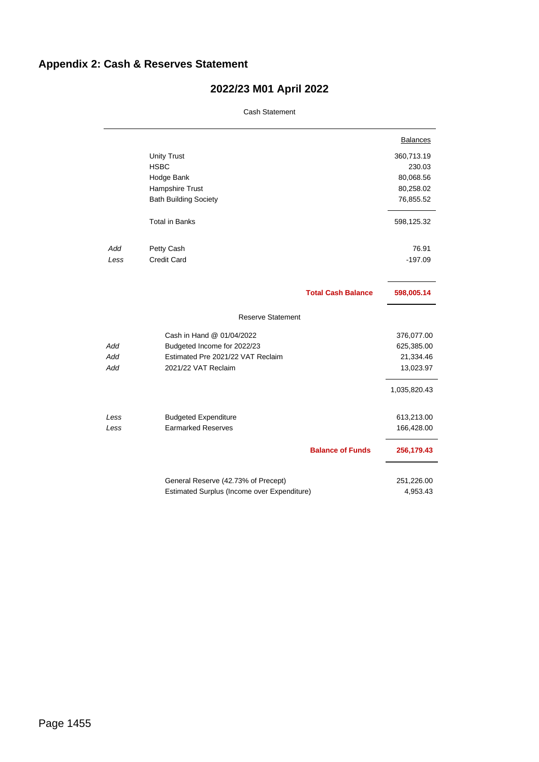# <span id="page-11-0"></span>**Appendix 2: Cash & Reserves Statement**

# **2022/23 M01 April 2022** Cash Statement

|      |                                             |                           | <b>Balances</b> |
|------|---------------------------------------------|---------------------------|-----------------|
|      | <b>Unity Trust</b>                          |                           | 360,713.19      |
|      | <b>HSBC</b>                                 |                           | 230.03          |
|      | Hodge Bank                                  |                           | 80,068.56       |
|      | Hampshire Trust                             |                           | 80,258.02       |
|      | <b>Bath Building Society</b>                |                           | 76,855.52       |
|      | <b>Total in Banks</b>                       |                           | 598,125.32      |
| Add  | Petty Cash                                  |                           | 76.91           |
| Less | <b>Credit Card</b>                          |                           | $-197.09$       |
|      |                                             | <b>Total Cash Balance</b> | 598,005.14      |
|      |                                             |                           |                 |
|      | <b>Reserve Statement</b>                    |                           |                 |
|      | Cash in Hand @ 01/04/2022                   |                           | 376,077.00      |
| Add  | Budgeted Income for 2022/23                 |                           | 625,385.00      |
| Add  | Estimated Pre 2021/22 VAT Reclaim           |                           | 21,334.46       |
| Add  | 2021/22 VAT Reclaim                         |                           | 13,023.97       |
|      |                                             |                           | 1,035,820.43    |
| Less | <b>Budgeted Expenditure</b>                 |                           | 613,213.00      |
| Less | <b>Earmarked Reserves</b>                   |                           | 166,428.00      |
|      |                                             | <b>Balance of Funds</b>   | 256,179.43      |
|      | General Reserve (42.73% of Precept)         |                           | 251,226.00      |
|      | Estimated Surplus (Income over Expenditure) |                           | 4,953.43        |
|      |                                             |                           |                 |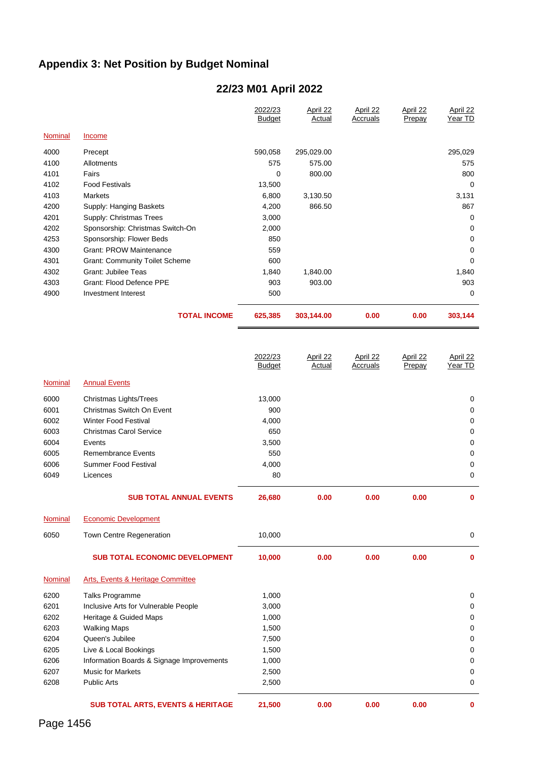# <span id="page-12-0"></span>**Appendix 3: Net Position by Budget Nominal**

# **22/23 M01 April 2022**

|         |                                       | 2022/23<br><b>Budget</b> | April 22<br>Actual | April 22<br>Accruals | April 22<br>Prepay | April 22<br>Year TD |
|---------|---------------------------------------|--------------------------|--------------------|----------------------|--------------------|---------------------|
| Nominal | Income                                |                          |                    |                      |                    |                     |
| 4000    | Precept                               | 590,058                  | 295,029.00         |                      |                    | 295,029             |
| 4100    | Allotments                            | 575                      | 575.00             |                      |                    | 575                 |
| 4101    | Fairs                                 | 0                        | 800.00             |                      |                    | 800                 |
| 4102    | <b>Food Festivals</b>                 | 13,500                   |                    |                      |                    | 0                   |
| 4103    | Markets                               | 6,800                    | 3,130.50           |                      |                    | 3,131               |
| 4200    | Supply: Hanging Baskets               | 4,200                    | 866.50             |                      |                    | 867                 |
| 4201    | Supply: Christmas Trees               | 3,000                    |                    |                      |                    | $\Omega$            |
| 4202    | Sponsorship: Christmas Switch-On      | 2,000                    |                    |                      |                    | $\Omega$            |
| 4253    | Sponsorship: Flower Beds              | 850                      |                    |                      |                    | $\Omega$            |
| 4300    | <b>Grant: PROW Maintenance</b>        | 559                      |                    |                      |                    | 0                   |
| 4301    | <b>Grant: Community Toilet Scheme</b> | 600                      |                    |                      |                    | 0                   |
| 4302    | Grant: Jubilee Teas                   | 1,840                    | 1,840.00           |                      |                    | 1,840               |
| 4303    | Grant: Flood Defence PPE              | 903                      | 903.00             |                      |                    | 903                 |
| 4900    | Investment Interest                   | 500                      |                    |                      |                    | $\Omega$            |
|         | <b>TOTAL INCOME</b>                   | 625,385                  | 303,144.00         | 0.00                 | 0.00               | 303,144             |

|         |                                | 2022/23<br><b>Budget</b> | April 22<br>Actual | April 22<br>Accruals | April 22<br>Prepay | April 22<br>Year TD |
|---------|--------------------------------|--------------------------|--------------------|----------------------|--------------------|---------------------|
| Nominal | <b>Annual Events</b>           |                          |                    |                      |                    |                     |
| 6000    | Christmas Lights/Trees         | 13,000                   |                    |                      |                    | 0                   |
| 6001    | Christmas Switch On Event      | 900                      |                    |                      |                    | 0                   |
| 6002    | Winter Food Festival           | 4,000                    |                    |                      |                    | 0                   |
| 6003    | Christmas Carol Service        | 650                      |                    |                      |                    | 0                   |
| 6004    | Events                         | 3,500                    |                    |                      |                    | 0                   |
| 6005    | Remembrance Events             | 550                      |                    |                      |                    | 0                   |
| 6006    | Summer Food Festival           | 4,000                    |                    |                      |                    | 0                   |
| 6049    | Licences                       | 80                       |                    |                      |                    | 0                   |
|         | <b>SUB TOTAL ANNUAL EVENTS</b> | 26,680                   | 0.00               | 0.00                 | 0.00               | $\mathbf 0$         |
| Nominal | <b>Economic Development</b>    |                          |                    |                      |                    |                     |

| 6050    | <b>Town Centre Regeneration</b>              | 10,000 |      |      |      | 0           |
|---------|----------------------------------------------|--------|------|------|------|-------------|
|         | <b>SUB TOTAL ECONOMIC DEVELOPMENT</b>        | 10,000 | 0.00 | 0.00 | 0.00 | $\bf{0}$    |
| Nominal | Arts, Events & Heritage Committee            |        |      |      |      |             |
| 6200    | Talks Programme                              | 1,000  |      |      |      | 0           |
| 6201    | Inclusive Arts for Vulnerable People         | 3,000  |      |      |      | 0           |
| 6202    | Heritage & Guided Maps                       | 1,000  |      |      |      | 0           |
| 6203    | <b>Walking Maps</b>                          | 1,500  |      |      |      | 0           |
| 6204    | Queen's Jubilee                              | 7,500  |      |      |      | 0           |
| 6205    | Live & Local Bookings                        | 1,500  |      |      |      | 0           |
| 6206    | Information Boards & Signage Improvements    | 1,000  |      |      |      | $\Omega$    |
| 6207    | <b>Music for Markets</b>                     | 2,500  |      |      |      | 0           |
| 6208    | <b>Public Arts</b>                           | 2,500  |      |      |      | 0           |
|         | <b>SUB TOTAL ARTS, EVENTS &amp; HERITAGE</b> | 21,500 | 0.00 | 0.00 | 0.00 | $\mathbf 0$ |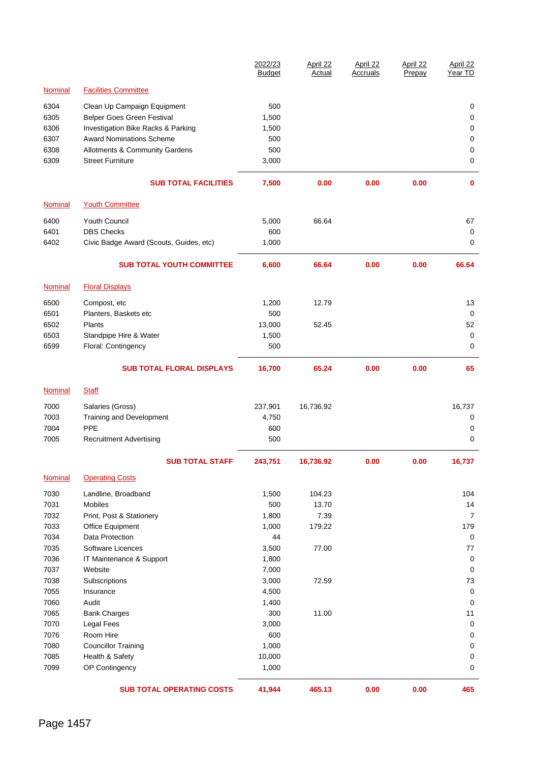|                |                                         | 2022/23<br><b>Budget</b> | April 22<br>Actual | April 22<br>Accruals | April 22<br>Prepay | April 22<br>Year TD |
|----------------|-----------------------------------------|--------------------------|--------------------|----------------------|--------------------|---------------------|
| <b>Nominal</b> | <b>Facilities Committee</b>             |                          |                    |                      |                    |                     |
| 6304           | Clean Up Campaign Equipment             | 500                      |                    |                      |                    | 0                   |
| 6305           | Belper Goes Green Festival              | 1,500                    |                    |                      |                    | 0                   |
| 6306           | Investigation Bike Racks & Parking      | 1,500                    |                    |                      |                    | 0                   |
| 6307           | <b>Award Nominations Scheme</b>         | 500                      |                    |                      |                    | 0                   |
| 6308           | Allotments & Community Gardens          | 500                      |                    |                      |                    | 0                   |
| 6309           | <b>Street Furniture</b>                 | 3,000                    |                    |                      |                    | 0                   |
|                | <b>SUB TOTAL FACILITIES</b>             | 7,500                    | 0.00               | 0.00                 | 0.00               | $\mathbf{0}$        |
| <b>Nominal</b> | <b>Youth Committee</b>                  |                          |                    |                      |                    |                     |
| 6400           | Youth Council                           | 5,000                    | 66.64              |                      |                    | 67                  |
| 6401           | <b>DBS Checks</b>                       | 600                      |                    |                      |                    | 0                   |
| 6402           | Civic Badge Award (Scouts, Guides, etc) | 1,000                    |                    |                      |                    | 0                   |
|                |                                         |                          |                    |                      |                    |                     |
|                | <b>SUB TOTAL YOUTH COMMITTEE</b>        | 6,600                    | 66.64              | 0.00                 | 0.00               | 66.64               |
| Nominal        | <b>Floral Displays</b>                  |                          |                    |                      |                    |                     |
| 6500           | Compost, etc                            | 1,200                    | 12.79              |                      |                    | 13                  |
| 6501           | Planters, Baskets etc                   | 500                      |                    |                      |                    | 0                   |
| 6502           | Plants                                  | 13,000                   | 52.45              |                      |                    | 52                  |
| 6503           | Standpipe Hire & Water                  | 1,500                    |                    |                      |                    | 0                   |
| 6599           | Floral: Contingency                     | 500                      |                    |                      |                    | 0                   |
|                | <b>SUB TOTAL FLORAL DISPLAYS</b>        | 16,700                   | 65.24              | 0.00                 | 0.00               | 65                  |
| <b>Nominal</b> | <b>Staff</b>                            |                          |                    |                      |                    |                     |
| 7000           | Salaries (Gross)                        | 237,901                  | 16,736.92          |                      |                    | 16,737              |
| 7003           | Training and Development                | 4,750                    |                    |                      |                    | 0                   |
| 7004           | PPE                                     | 600                      |                    |                      |                    | 0                   |
| 7005           | <b>Recruitment Advertising</b>          | 500                      |                    |                      |                    | 0                   |
|                | <b>SUB TOTAL STAFF</b>                  | 243,751                  | 16,736.92          | 0.00                 | 0.00               | 16,737              |
| Nominal        | <b>Operating Costs</b>                  |                          |                    |                      |                    |                     |
| 7030           | Landline, Broadband                     | 1,500                    | 104.23             |                      |                    | 104                 |
| 7031           | Mobiles                                 | 500                      | 13.70              |                      |                    | 14                  |
| 7032           | Print, Post & Stationery                | 1,800                    | 7.39               |                      |                    | $\overline{7}$      |
| 7033           | Office Equipment                        | 1,000                    | 179.22             |                      |                    | 179                 |
| 7034           | <b>Data Protection</b>                  | 44                       |                    |                      |                    | 0                   |
| 7035           | Software Licences                       | 3,500                    | 77.00              |                      |                    | 77                  |
| 7036           | IT Maintenance & Support                | 1,800                    |                    |                      |                    | 0                   |
| 7037           | Website                                 | 7,000                    |                    |                      |                    | 0                   |
| 7038           | Subscriptions                           | 3,000                    | 72.59              |                      |                    | 73                  |
| 7055           | Insurance                               | 4,500                    |                    |                      |                    | 0                   |
| 7060           | Audit                                   | 1,400                    |                    |                      |                    | 0                   |
| 7065           | <b>Bank Charges</b>                     | 300                      | 11.00              |                      |                    | 11                  |
| 7070           | Legal Fees                              | 3,000                    |                    |                      |                    | 0                   |
| 7076           | Room Hire                               | 600                      |                    |                      |                    | 0                   |
| 7080           | <b>Councillor Training</b>              | 1,000                    |                    |                      |                    | 0                   |
| 7085           | Health & Safety                         | 10,000                   |                    |                      |                    | 0                   |
| 7099           | OP Contingency                          | 1,000                    |                    |                      |                    | 0                   |
|                | <b>SUB TOTAL OPERATING COSTS</b>        | 41,944                   | 465.13             | 0.00                 | 0.00               | 465                 |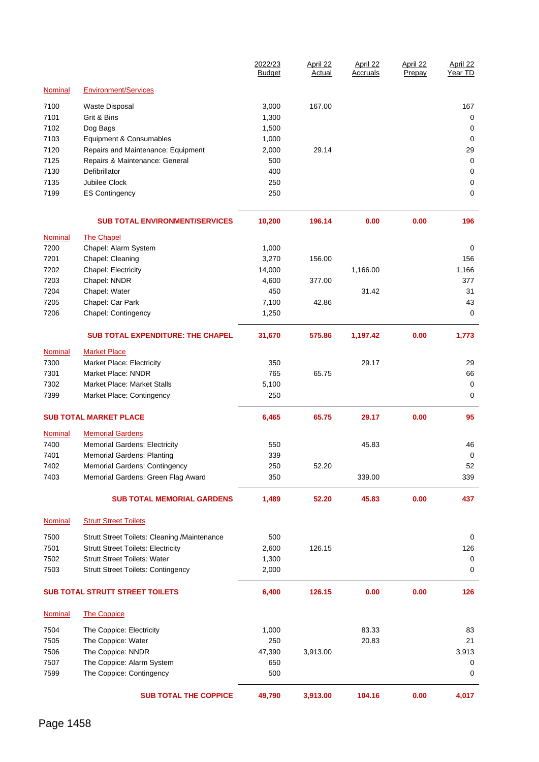|                |                                                     | 2022/23<br><b>Budget</b> | April 22<br>Actual | April 22<br>Accruals | April 22<br>Prepay | April 22<br>Year TD |
|----------------|-----------------------------------------------------|--------------------------|--------------------|----------------------|--------------------|---------------------|
| Nominal        | <b>Environment/Services</b>                         |                          |                    |                      |                    |                     |
| 7100           | Waste Disposal                                      | 3,000                    | 167.00             |                      |                    | 167                 |
| 7101           | Grit & Bins                                         | 1,300                    |                    |                      |                    | 0                   |
| 7102           | Dog Bags                                            | 1,500                    |                    |                      |                    | 0                   |
| 7103           | Equipment & Consumables                             | 1,000                    |                    |                      |                    | 0                   |
| 7120           | Repairs and Maintenance: Equipment                  | 2,000                    | 29.14              |                      |                    | 29                  |
| 7125           | Repairs & Maintenance: General                      | 500                      |                    |                      |                    | 0                   |
| 7130           | Defibrillator                                       | 400                      |                    |                      |                    | 0                   |
| 7135           | Jubilee Clock                                       | 250                      |                    |                      |                    | 0                   |
| 7199           | <b>ES Contingency</b>                               | 250                      |                    |                      |                    | 0                   |
|                | <b>SUB TOTAL ENVIRONMENT/SERVICES</b>               | 10,200                   | 196.14             | 0.00                 | 0.00               | 196                 |
| <b>Nominal</b> | <b>The Chapel</b>                                   |                          |                    |                      |                    |                     |
| 7200           | Chapel: Alarm System                                | 1,000                    |                    |                      |                    | 0                   |
| 7201           | Chapel: Cleaning                                    | 3,270                    | 156.00             |                      |                    | 156                 |
| 7202           | Chapel: Electricity                                 | 14,000                   |                    | 1,166.00             |                    | 1,166               |
| 7203           | Chapel: NNDR                                        | 4,600                    | 377.00             |                      |                    | 377                 |
| 7204           | Chapel: Water                                       | 450                      |                    | 31.42                |                    | 31                  |
| 7205           | Chapel: Car Park                                    | 7,100                    | 42.86              |                      |                    | 43                  |
| 7206           | Chapel: Contingency                                 | 1,250                    |                    |                      |                    | 0                   |
|                | <b>SUB TOTAL EXPENDITURE: THE CHAPEL</b>            | 31,670                   | 575.86             | 1,197.42             | 0.00               | 1,773               |
| Nominal        | <b>Market Place</b>                                 |                          |                    |                      |                    |                     |
| 7300           | <b>Market Place: Electricity</b>                    | 350                      |                    | 29.17                |                    | 29                  |
| 7301           | Market Place: NNDR                                  | 765                      | 65.75              |                      |                    | 66                  |
| 7302           | Market Place: Market Stalls                         | 5,100                    |                    |                      |                    | 0                   |
| 7399           | Market Place: Contingency                           | 250                      |                    |                      |                    | 0                   |
|                | <b>SUB TOTAL MARKET PLACE</b>                       | 6,465                    | 65.75              | 29.17                | 0.00               | 95                  |
| Nominal        | <b>Memorial Gardens</b>                             |                          |                    |                      |                    |                     |
| 7400           | Memorial Gardens: Electricity                       | 550                      |                    | 45.83                |                    | 46                  |
| 7401           | <b>Memorial Gardens: Planting</b>                   | 339                      |                    |                      |                    | 0                   |
| 7402           | Memorial Gardens: Contingency                       | 250                      | 52.20              |                      |                    | 52                  |
| 7403           | Memorial Gardens: Green Flag Award                  | 350                      |                    | 339.00               |                    | 339                 |
|                | <b>SUB TOTAL MEMORIAL GARDENS</b>                   | 1,489                    | 52.20              | 45.83                | 0.00               | 437                 |
| <b>Nominal</b> | <b>Strutt Street Toilets</b>                        |                          |                    |                      |                    |                     |
| 7500           | <b>Strutt Street Toilets: Cleaning /Maintenance</b> | 500                      |                    |                      |                    | 0                   |
| 7501           | <b>Strutt Street Toilets: Electricity</b>           | 2,600                    | 126.15             |                      |                    | 126                 |
| 7502           | <b>Strutt Street Toilets: Water</b>                 | 1,300                    |                    |                      |                    | 0                   |
| 7503           | <b>Strutt Street Toilets: Contingency</b>           | 2,000                    |                    |                      |                    | 0                   |
|                | <b>SUB TOTAL STRUTT STREET TOILETS</b>              | 6,400                    | 126.15             | 0.00                 | 0.00               | 126                 |
| <b>Nominal</b> | <b>The Coppice</b>                                  |                          |                    |                      |                    |                     |
| 7504           | The Coppice: Electricity                            | 1,000                    |                    | 83.33                |                    | 83                  |
| 7505           | The Coppice: Water                                  | 250                      |                    | 20.83                |                    | 21                  |
| 7506           | The Coppice: NNDR                                   | 47,390                   | 3,913.00           |                      |                    | 3,913               |
| 7507           | The Coppice: Alarm System                           | 650                      |                    |                      |                    | 0                   |
| 7599           | The Coppice: Contingency                            | 500                      |                    |                      |                    | 0                   |
|                | <b>SUB TOTAL THE COPPICE</b>                        | 49,790                   | 3,913.00           | 104.16               | 0.00               | 4,017               |
|                |                                                     |                          |                    |                      |                    |                     |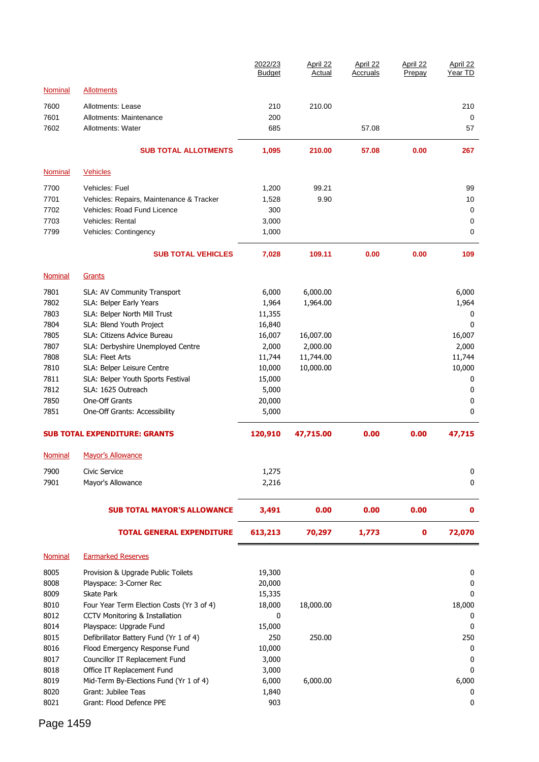|                |                                                               | 2022/23<br><b>Budget</b> | April 22<br>Actual | April 22<br>Accruals | April 22<br>Prepay | April 22<br>Year TD |
|----------------|---------------------------------------------------------------|--------------------------|--------------------|----------------------|--------------------|---------------------|
| <b>Nominal</b> | <b>Allotments</b>                                             |                          |                    |                      |                    |                     |
| 7600           | Allotments: Lease                                             | 210                      | 210.00             |                      |                    | 210                 |
| 7601           | Allotments: Maintenance                                       | 200                      |                    |                      |                    | 0                   |
| 7602           | Allotments: Water                                             | 685                      |                    | 57.08                |                    | 57                  |
|                | <b>SUB TOTAL ALLOTMENTS</b>                                   | 1,095                    | 210.00             | 57.08                | 0.00               | 267                 |
| <b>Nominal</b> | <b>Vehicles</b>                                               |                          |                    |                      |                    |                     |
| 7700           | Vehicles: Fuel                                                | 1,200                    | 99.21              |                      |                    | 99                  |
| 7701           | Vehicles: Repairs, Maintenance & Tracker                      | 1,528                    | 9.90               |                      |                    | 10                  |
| 7702           | Vehicles: Road Fund Licence                                   | 300                      |                    |                      |                    | 0                   |
| 7703           | Vehicles: Rental                                              | 3,000                    |                    |                      |                    | 0                   |
| 7799           | Vehicles: Contingency                                         | 1,000                    |                    |                      |                    | 0                   |
|                | <b>SUB TOTAL VEHICLES</b>                                     | 7,028                    | 109.11             | 0.00                 | 0.00               | 109                 |
| <b>Nominal</b> | Grants                                                        |                          |                    |                      |                    |                     |
| 7801           | SLA: AV Community Transport                                   | 6,000                    | 6,000.00           |                      |                    | 6,000               |
| 7802           | SLA: Belper Early Years                                       | 1,964                    | 1,964.00           |                      |                    | 1,964               |
| 7803           | SLA: Belper North Mill Trust                                  | 11,355                   |                    |                      |                    | 0                   |
| 7804           | SLA: Blend Youth Project                                      | 16,840                   |                    |                      |                    | 0                   |
| 7805           | SLA: Citizens Advice Bureau                                   | 16,007                   | 16,007.00          |                      |                    | 16,007              |
| 7807           | SLA: Derbyshire Unemployed Centre                             | 2,000                    | 2,000.00           |                      |                    | 2,000               |
| 7808           | SLA: Fleet Arts                                               | 11,744                   | 11,744.00          |                      |                    | 11,744              |
| 7810           | SLA: Belper Leisure Centre                                    | 10,000                   | 10,000.00          |                      |                    | 10,000              |
| 7811           | SLA: Belper Youth Sports Festival                             | 15,000                   |                    |                      |                    | 0                   |
| 7812<br>7850   | SLA: 1625 Outreach<br>One-Off Grants                          | 5,000                    |                    |                      |                    | 0<br>0              |
| 7851           | One-Off Grants: Accessibility                                 | 20,000<br>5,000          |                    |                      |                    | 0                   |
|                | <b>SUB TOTAL EXPENDITURE: GRANTS</b>                          | 120,910                  | 47,715.00          | 0.00                 | 0.00               | 47,715              |
| <b>Nominal</b> | <b>Mayor's Allowance</b>                                      |                          |                    |                      |                    |                     |
|                |                                                               |                          |                    |                      |                    |                     |
| 7900<br>7901   | Civic Service                                                 | 1,275                    |                    |                      |                    | 0<br>0              |
|                | Mayor's Allowance                                             | 2,216                    |                    |                      |                    |                     |
|                | <b>SUB TOTAL MAYOR'S ALLOWANCE</b>                            | 3,491                    | 0.00               | 0.00                 | 0.00               | 0                   |
|                | <b>TOTAL GENERAL EXPENDITURE</b>                              | 613,213                  | 70,297             | 1,773                | $\pmb{0}$          | 72,070              |
| Nominal        | <b>Earmarked Reserves</b>                                     |                          |                    |                      |                    |                     |
| 8005           | Provision & Upgrade Public Toilets                            | 19,300                   |                    |                      |                    | 0                   |
| 8008           | Playspace: 3-Corner Rec                                       | 20,000                   |                    |                      |                    | 0                   |
| 8009           | Skate Park                                                    | 15,335                   |                    |                      |                    | 0                   |
| 8010           | Four Year Term Election Costs (Yr 3 of 4)                     | 18,000                   | 18,000.00          |                      |                    | 18,000              |
| 8012           | <b>CCTV Monitoring &amp; Installation</b>                     | 0                        |                    |                      |                    | 0                   |
| 8014           | Playspace: Upgrade Fund                                       | 15,000                   |                    |                      |                    | 0                   |
| 8015           | Defibrillator Battery Fund (Yr 1 of 4)                        | 250                      | 250.00             |                      |                    | 250                 |
| 8016           | Flood Emergency Response Fund                                 | 10,000                   |                    |                      |                    | 0                   |
| 8017           | Councillor IT Replacement Fund                                | 3,000                    |                    |                      |                    | 0                   |
| 8018           | Office IT Replacement Fund                                    | 3,000                    |                    |                      |                    | 0                   |
| 8019<br>8020   | Mid-Term By-Elections Fund (Yr 1 of 4)<br>Grant: Jubilee Teas | 6,000<br>1,840           | 6,000.00           |                      |                    | 6,000<br>0          |
| 8021           | Grant: Flood Defence PPE                                      | 903                      |                    |                      |                    | 0                   |
|                |                                                               |                          |                    |                      |                    |                     |